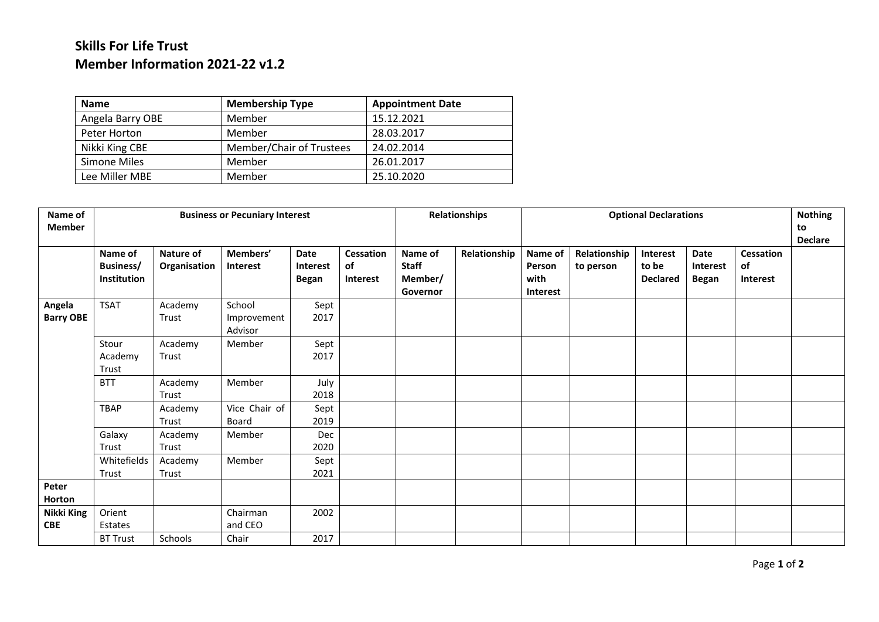## **Skills For Life Trust Member Information 2021-22 v1.2**

| <b>Name</b>      | <b>Membership Type</b>   | <b>Appointment Date</b> |
|------------------|--------------------------|-------------------------|
| Angela Barry OBE | Member                   | 15.12.2021              |
| Peter Horton     | Member                   | 28.03.2017              |
| Nikki King CBE   | Member/Chair of Trustees | 24.02.2014              |
| Simone Miles     | Member                   | 26.01.2017              |
| Lee Miller MBE   | Member                   | 25.10.2020              |

| Name of<br><b>Member</b>   | <b>Business or Pecuniary Interest</b>             |                           |                                  |                                         |                                    |                                                | <b>Relationships</b> |                                              | <b>Nothing</b><br>to      |                                      |                                         |                                    |  |
|----------------------------|---------------------------------------------------|---------------------------|----------------------------------|-----------------------------------------|------------------------------------|------------------------------------------------|----------------------|----------------------------------------------|---------------------------|--------------------------------------|-----------------------------------------|------------------------------------|--|
|                            |                                                   |                           |                                  |                                         |                                    |                                                |                      |                                              | <b>Declare</b>            |                                      |                                         |                                    |  |
|                            | Name of<br><b>Business/</b><br><b>Institution</b> | Nature of<br>Organisation | Members'<br>Interest             | Date<br><b>Interest</b><br><b>Began</b> | <b>Cessation</b><br>of<br>Interest | Name of<br><b>Staff</b><br>Member/<br>Governor | Relationship         | Name of<br>Person<br>with<br><b>Interest</b> | Relationship<br>to person | Interest<br>to be<br><b>Declared</b> | Date<br><b>Interest</b><br><b>Began</b> | Cessation<br>of<br><b>Interest</b> |  |
| Angela<br><b>Barry OBE</b> | <b>TSAT</b>                                       | Academy<br>Trust          | School<br>Improvement<br>Advisor | Sept<br>2017                            |                                    |                                                |                      |                                              |                           |                                      |                                         |                                    |  |
|                            | Stour<br>Academy<br>Trust                         | Academy<br>Trust          | Member                           | Sept<br>2017                            |                                    |                                                |                      |                                              |                           |                                      |                                         |                                    |  |
|                            | <b>BTT</b>                                        | Academy<br>Trust          | Member                           | July<br>2018                            |                                    |                                                |                      |                                              |                           |                                      |                                         |                                    |  |
|                            | <b>TBAP</b>                                       | Academy<br>Trust          | Vice Chair of<br>Board           | Sept<br>2019                            |                                    |                                                |                      |                                              |                           |                                      |                                         |                                    |  |
|                            | Galaxy<br>Trust                                   | Academy<br>Trust          | Member                           | Dec<br>2020                             |                                    |                                                |                      |                                              |                           |                                      |                                         |                                    |  |
|                            | Whitefields<br>Trust                              | Academy<br>Trust          | Member                           | Sept<br>2021                            |                                    |                                                |                      |                                              |                           |                                      |                                         |                                    |  |
| Peter<br><b>Horton</b>     |                                                   |                           |                                  |                                         |                                    |                                                |                      |                                              |                           |                                      |                                         |                                    |  |
| Nikki King<br><b>CBE</b>   | Orient<br>Estates                                 |                           | Chairman<br>and CEO              | 2002                                    |                                    |                                                |                      |                                              |                           |                                      |                                         |                                    |  |
|                            | <b>BT Trust</b>                                   | Schools                   | Chair                            | 2017                                    |                                    |                                                |                      |                                              |                           |                                      |                                         |                                    |  |